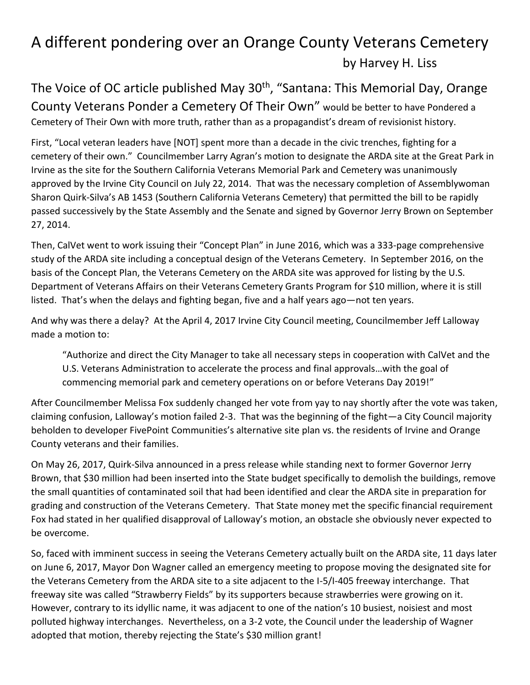## A different pondering over an Orange County Veterans Cemetery by Harvey H. Liss

The Voice of OC article published May 30<sup>th</sup>, "Santana: This Memorial Day, Orange County Veterans Ponder a Cemetery Of Their Own" would be better to have Pondered a Cemetery of Their Own with more truth, rather than as a propagandist's dream of revisionist history.

First, "Local veteran leaders have [NOT] spent more than a decade in the civic trenches, fighting for a cemetery of their own." Councilmember Larry Agran's motion to designate the ARDA site at the Great Park in Irvine as the site for the Southern California Veterans Memorial Park and Cemetery was unanimously approved by the Irvine City Council on July 22, 2014. That was the necessary completion of Assemblywoman Sharon Quirk-Silva's AB 1453 (Southern California Veterans Cemetery) that permitted the bill to be rapidly passed successively by the State Assembly and the Senate and signed by Governor Jerry Brown on September 27, 2014.

Then, CalVet went to work issuing their "Concept Plan" in June 2016, which was a 333-page comprehensive study of the ARDA site including a conceptual design of the Veterans Cemetery. In September 2016, on the basis of the Concept Plan, the Veterans Cemetery on the ARDA site was approved for listing by the U.S. Department of Veterans Affairs on their Veterans Cemetery Grants Program for \$10 million, where it is still listed. That's when the delays and fighting began, five and a half years ago—not ten years.

And why was there a delay? At the April 4, 2017 Irvine City Council meeting, Councilmember Jeff Lalloway made a motion to:

"Authorize and direct the City Manager to take all necessary steps in cooperation with CalVet and the U.S. Veterans Administration to accelerate the process and final approvals…with the goal of commencing memorial park and cemetery operations on or before Veterans Day 2019!"

After Councilmember Melissa Fox suddenly changed her vote from yay to nay shortly after the vote was taken, claiming confusion, Lalloway's motion failed 2-3. That was the beginning of the fight—a City Council majority beholden to developer FivePoint Communities's alternative site plan vs. the residents of Irvine and Orange County veterans and their families.

On May 26, 2017, Quirk-Silva announced in a press release while standing next to former Governor Jerry Brown, that \$30 million had been inserted into the State budget specifically to demolish the buildings, remove the small quantities of contaminated soil that had been identified and clear the ARDA site in preparation for grading and construction of the Veterans Cemetery. That State money met the specific financial requirement Fox had stated in her qualified disapproval of Lalloway's motion, an obstacle she obviously never expected to be overcome.

So, faced with imminent success in seeing the Veterans Cemetery actually built on the ARDA site, 11 days later on June 6, 2017, Mayor Don Wagner called an emergency meeting to propose moving the designated site for the Veterans Cemetery from the ARDA site to a site adjacent to the I-5/I-405 freeway interchange. That freeway site was called "Strawberry Fields" by its supporters because strawberries were growing on it. However, contrary to its idyllic name, it was adjacent to one of the nation's 10 busiest, noisiest and most polluted highway interchanges. Nevertheless, on a 3-2 vote, the Council under the leadership of Wagner adopted that motion, thereby rejecting the State's \$30 million grant!